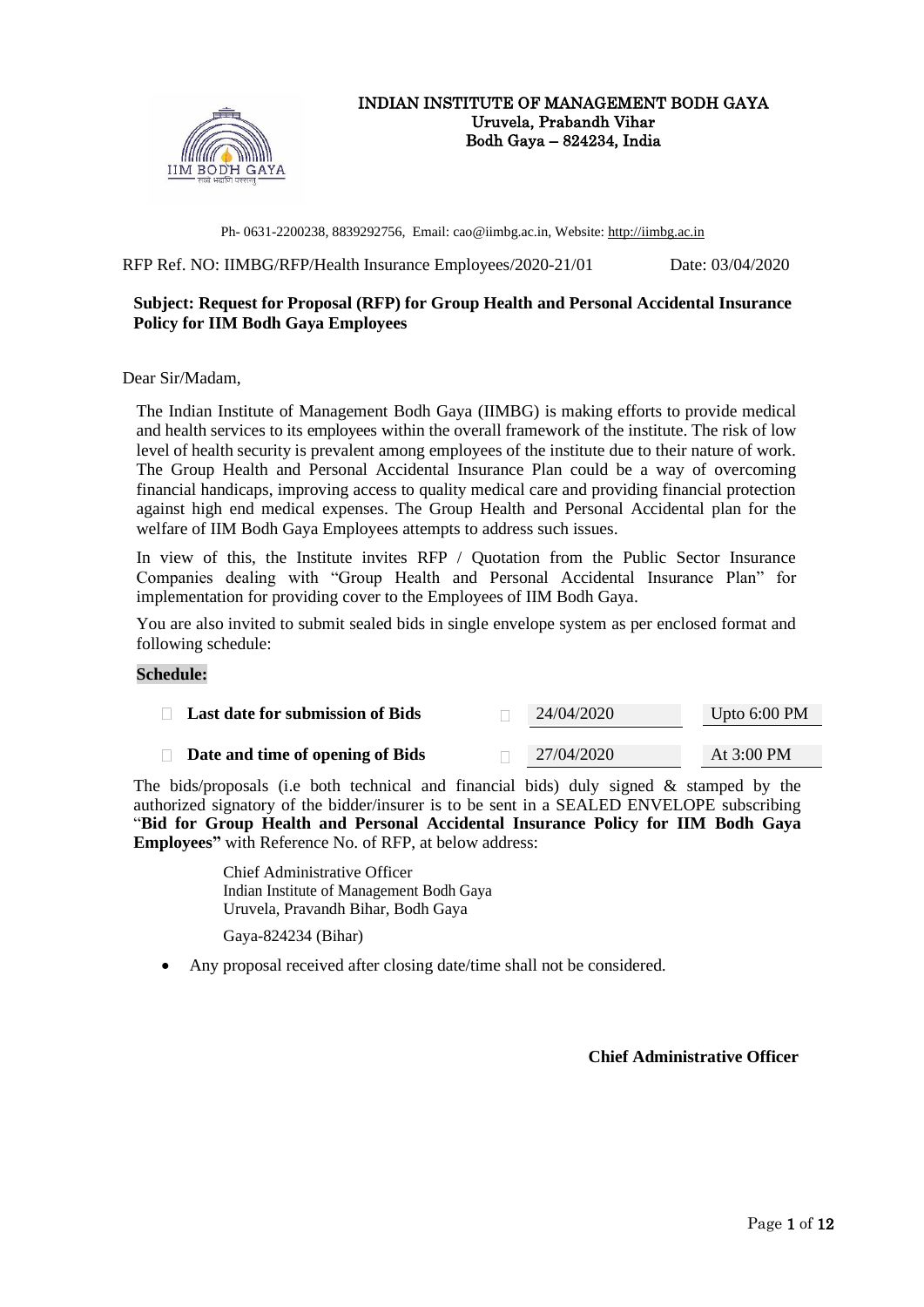

#### INDIAN INSTITUTE OF MANAGEMENT BODH GAYA Uruvela, Prabandh Vihar Bodh Gaya – 824234, India

Ph- 0631-2200238, 8839292756, Email: cao@iimbg.ac.in, Website: [http://iimbg.ac.in](http://iimbg.ac.in/)

RFP Ref. NO: IIMBG/RFP/Health Insurance Employees/2020-21/01 Date: 03/04/2020

# **Subject: Request for Proposal (RFP) for Group Health and Personal Accidental Insurance Policy for IIM Bodh Gaya Employees**

Dear Sir/Madam,

The Indian Institute of Management Bodh Gaya (IIMBG) is making efforts to provide medical and health services to its employees within the overall framework of the institute. The risk of low level of health security is prevalent among employees of the institute due to their nature of work. The Group Health and Personal Accidental Insurance Plan could be a way of overcoming financial handicaps, improving access to quality medical care and providing financial protection against high end medical expenses. The Group Health and Personal Accidental plan for the welfare of IIM Bodh Gaya Employees attempts to address such issues.

In view of this, the Institute invites RFP / Quotation from the Public Sector Insurance Companies dealing with "Group Health and Personal Accidental Insurance Plan" for implementation for providing cover to the Employees of IIM Bodh Gaya.

You are also invited to submit sealed bids in single envelope system as per enclosed format and following schedule:

#### **Schedule:**

| <b>Last date for submission of Bids</b> |  | 24/04/2020 | Upto $6:00$ PM |
|-----------------------------------------|--|------------|----------------|
| Date and time of opening of Bids        |  | 27/04/2020 | At $3:00$ PM   |

The bids/proposals (i.e both technical and financial bids) duly signed & stamped by the authorized signatory of the bidder/insurer is to be sent in a SEALED ENVELOPE subscribing "**Bid for Group Health and Personal Accidental Insurance Policy for IIM Bodh Gaya Employees"** with Reference No. of RFP, at below address:

> Chief Administrative Officer Indian Institute of Management Bodh Gaya Uruvela, Pravandh Bihar, Bodh Gaya

Gaya-824234 (Bihar)

• Any proposal received after closing date/time shall not be considered.

## **Chief Administrative Officer**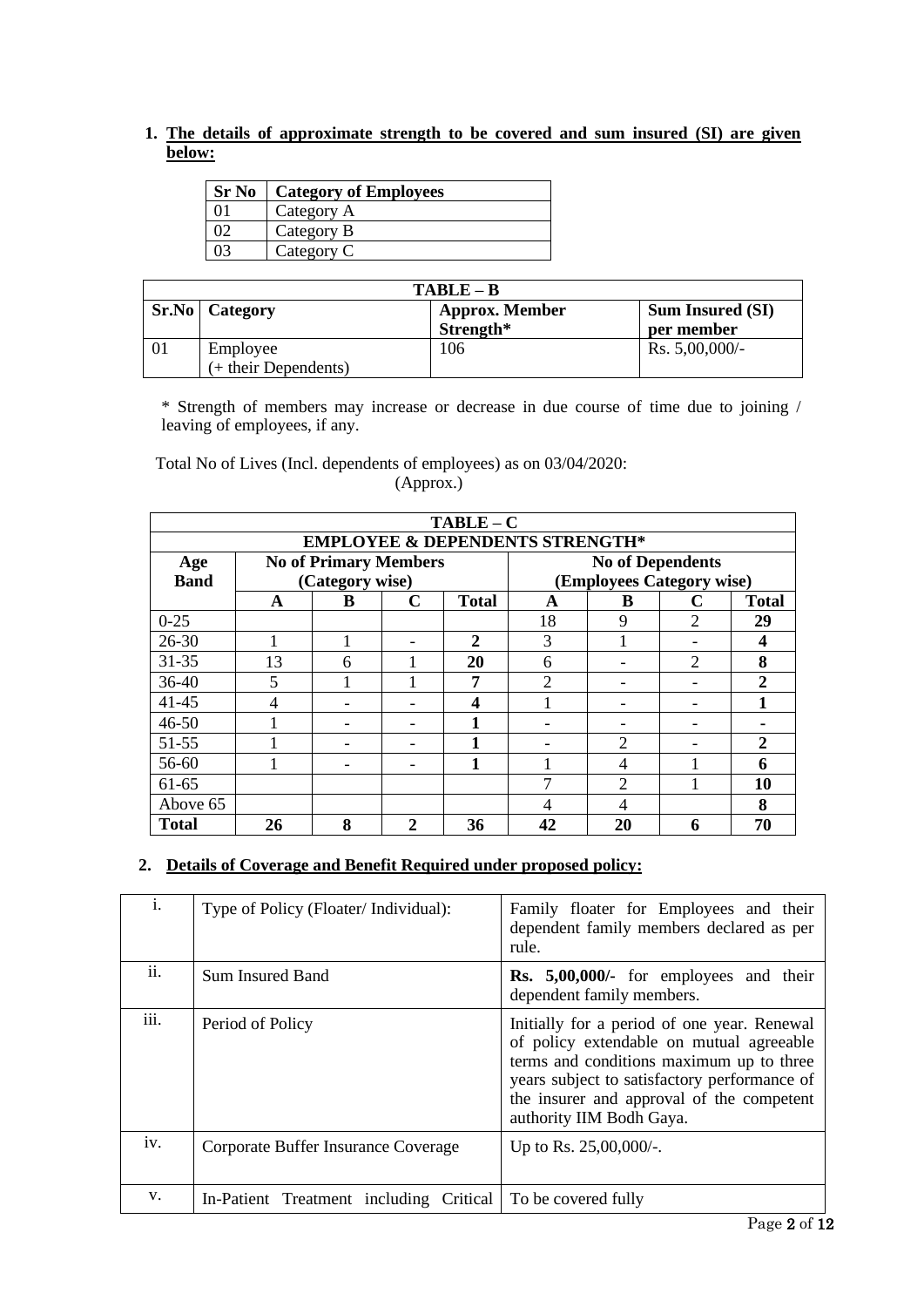**1. The details of approximate strength to be covered and sum insured (SI) are given below:**

| <b>Sr No</b> | <b>Category of Employees</b> |
|--------------|------------------------------|
|              | Category A                   |
|              | Category B                   |
|              | Category C                   |

| $TARI.E - R$ |                                  |                                    |                                       |  |  |  |  |
|--------------|----------------------------------|------------------------------------|---------------------------------------|--|--|--|--|
|              | <b>Sr.No</b> Category            | <b>Approx. Member</b><br>Strength* | <b>Sum Insured (SI)</b><br>per member |  |  |  |  |
| -01          | Employee<br>(+ their Dependents) | 106                                | Rs. $5,00,000/$ -                     |  |  |  |  |

\* Strength of members may increase or decrease in due course of time due to joining / leaving of employees, if any.

Total No of Lives (Incl. dependents of employees) as on 03/04/2020: (Approx.)

|              | $TABLE - C$                                |                              |              |              |    |                           |   |                  |
|--------------|--------------------------------------------|------------------------------|--------------|--------------|----|---------------------------|---|------------------|
|              | <b>EMPLOYEE &amp; DEPENDENTS STRENGTH*</b> |                              |              |              |    |                           |   |                  |
| Age          |                                            | <b>No of Primary Members</b> |              |              |    | <b>No of Dependents</b>   |   |                  |
| <b>Band</b>  |                                            | (Category wise)              |              |              |    | (Employees Category wise) |   |                  |
|              | A                                          | B                            | C            | <b>Total</b> | A  | B                         | C | <b>Total</b>     |
| $0 - 25$     |                                            |                              |              |              | 18 | 9                         | 2 | 29               |
| $26 - 30$    |                                            |                              |              | $\mathbf{2}$ | 3  |                           |   | $\boldsymbol{4}$ |
| $31 - 35$    | 13                                         | 6                            |              | 20           | 6  |                           | 2 | 8                |
| $36 - 40$    | 5                                          |                              |              | 7            | 2  |                           |   | $\mathbf{2}$     |
| $41 - 45$    | 4                                          |                              |              | 4            |    |                           |   |                  |
| $46 - 50$    |                                            |                              |              |              |    |                           |   |                  |
| $51 - 55$    |                                            |                              |              |              |    | $\overline{2}$            |   | 2                |
| 56-60        |                                            |                              |              | 1            |    | 4                         |   | 6                |
| $61-65$      |                                            |                              |              |              | ¬  | $\overline{c}$            |   | 10               |
| Above 65     |                                            |                              |              |              | 4  | 4                         |   | 8                |
| <b>Total</b> | 26                                         | 8                            | $\mathbf{2}$ | 36           | 42 | 20                        | 6 | 70               |

# **2. Details of Coverage and Benefit Required under proposed policy:**

| i.   | Type of Policy (Floater/Individual):    | Family floater for Employees and their<br>dependent family members declared as per<br>rule.                                                                                                                                                                  |
|------|-----------------------------------------|--------------------------------------------------------------------------------------------------------------------------------------------------------------------------------------------------------------------------------------------------------------|
| ii.  | Sum Insured Band                        | Rs. 5,00,000/- for employees and their<br>dependent family members.                                                                                                                                                                                          |
| iii. | Period of Policy                        | Initially for a period of one year. Renewal<br>of policy extendable on mutual agreeable<br>terms and conditions maximum up to three<br>years subject to satisfactory performance of<br>the insurer and approval of the competent<br>authority IIM Bodh Gaya. |
| iv.  | Corporate Buffer Insurance Coverage     | Up to Rs. $25,00,000/$ -.                                                                                                                                                                                                                                    |
| V.   | In-Patient Treatment including Critical | To be covered fully                                                                                                                                                                                                                                          |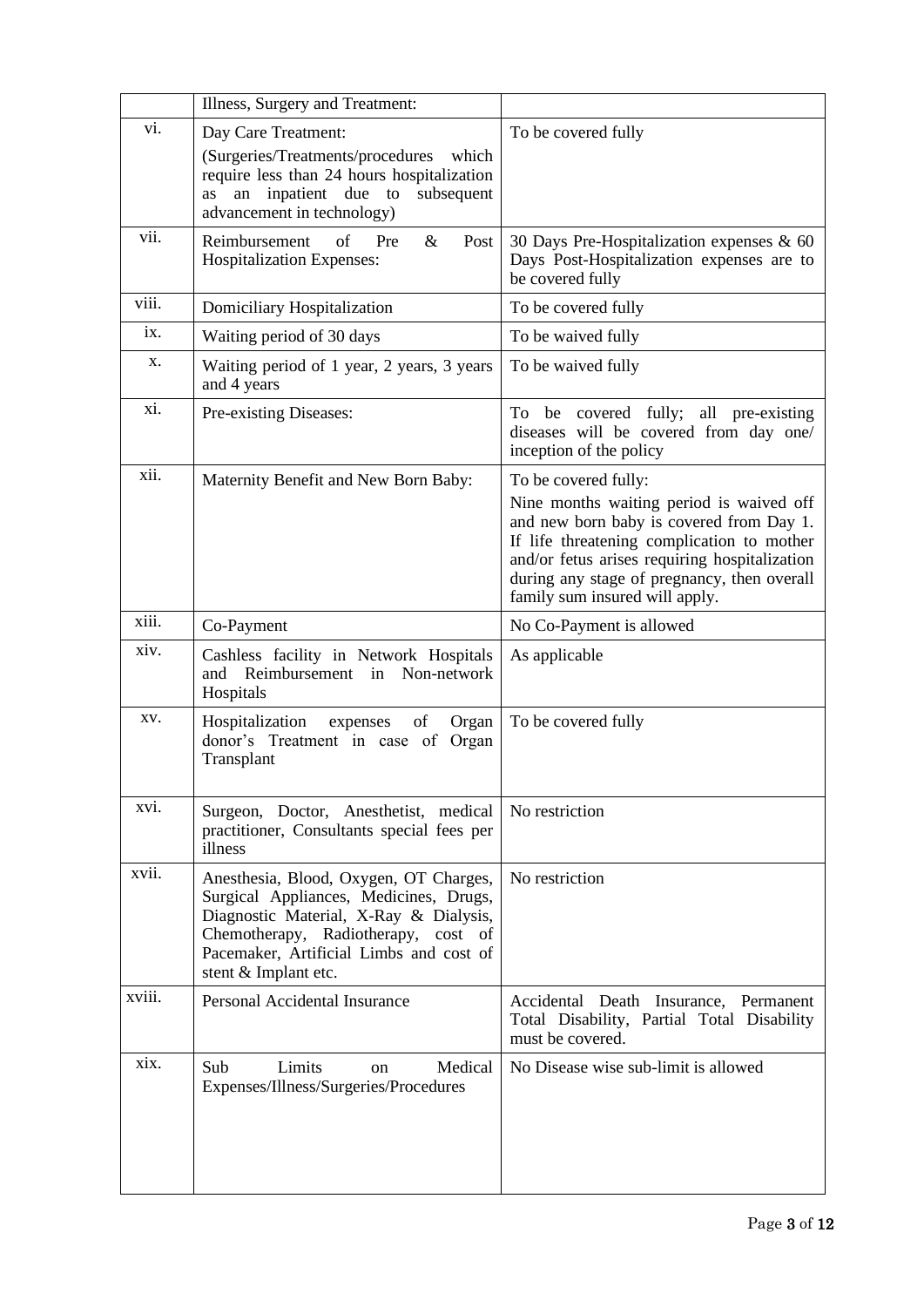|        | Illness, Surgery and Treatment:                                                                                                                                                                                                      |                                                                                                                                                                                                                                                                                              |
|--------|--------------------------------------------------------------------------------------------------------------------------------------------------------------------------------------------------------------------------------------|----------------------------------------------------------------------------------------------------------------------------------------------------------------------------------------------------------------------------------------------------------------------------------------------|
| vi.    | Day Care Treatment:<br>(Surgeries/Treatments/procedures<br>which<br>require less than 24 hours hospitalization<br>inpatient due to<br>subsequent<br>an<br>as<br>advancement in technology)                                           | To be covered fully                                                                                                                                                                                                                                                                          |
| vii.   | of<br>&<br>Reimbursement<br>Pre<br>Post<br>Hospitalization Expenses:                                                                                                                                                                 | 30 Days Pre-Hospitalization expenses & 60<br>Days Post-Hospitalization expenses are to<br>be covered fully                                                                                                                                                                                   |
| viii.  | Domiciliary Hospitalization                                                                                                                                                                                                          | To be covered fully                                                                                                                                                                                                                                                                          |
| ix.    | Waiting period of 30 days                                                                                                                                                                                                            | To be waived fully                                                                                                                                                                                                                                                                           |
| х.     | Waiting period of 1 year, 2 years, 3 years<br>and 4 years                                                                                                                                                                            | To be waived fully                                                                                                                                                                                                                                                                           |
| xi.    | Pre-existing Diseases:                                                                                                                                                                                                               | be covered fully; all pre-existing<br>To<br>diseases will be covered from day one/<br>inception of the policy                                                                                                                                                                                |
| xii.   | Maternity Benefit and New Born Baby:                                                                                                                                                                                                 | To be covered fully:<br>Nine months waiting period is waived off<br>and new born baby is covered from Day 1.<br>If life threatening complication to mother<br>and/or fetus arises requiring hospitalization<br>during any stage of pregnancy, then overall<br>family sum insured will apply. |
| xiii.  | Co-Payment                                                                                                                                                                                                                           | No Co-Payment is allowed                                                                                                                                                                                                                                                                     |
| xiv.   | Cashless facility in Network Hospitals<br>Reimbursement in Non-network<br>and<br>Hospitals                                                                                                                                           | As applicable                                                                                                                                                                                                                                                                                |
| XV.    | Hospitalization<br>expenses<br>of<br>Organ<br>donor's Treatment in case of Organ<br>Transplant                                                                                                                                       | To be covered fully                                                                                                                                                                                                                                                                          |
| xvi.   | Surgeon, Doctor, Anesthetist, medical<br>practitioner, Consultants special fees per<br>illness                                                                                                                                       | No restriction                                                                                                                                                                                                                                                                               |
| xvii.  | Anesthesia, Blood, Oxygen, OT Charges,<br>Surgical Appliances, Medicines, Drugs,<br>Diagnostic Material, X-Ray & Dialysis,<br>Chemotherapy, Radiotherapy, cost of<br>Pacemaker, Artificial Limbs and cost of<br>stent & Implant etc. | No restriction                                                                                                                                                                                                                                                                               |
| xviii. | Personal Accidental Insurance                                                                                                                                                                                                        | Accidental Death Insurance, Permanent<br>Total Disability, Partial Total Disability<br>must be covered.                                                                                                                                                                                      |
| xix.   | Sub<br>Limits<br>Medical<br>on<br>Expenses/Illness/Surgeries/Procedures                                                                                                                                                              | No Disease wise sub-limit is allowed                                                                                                                                                                                                                                                         |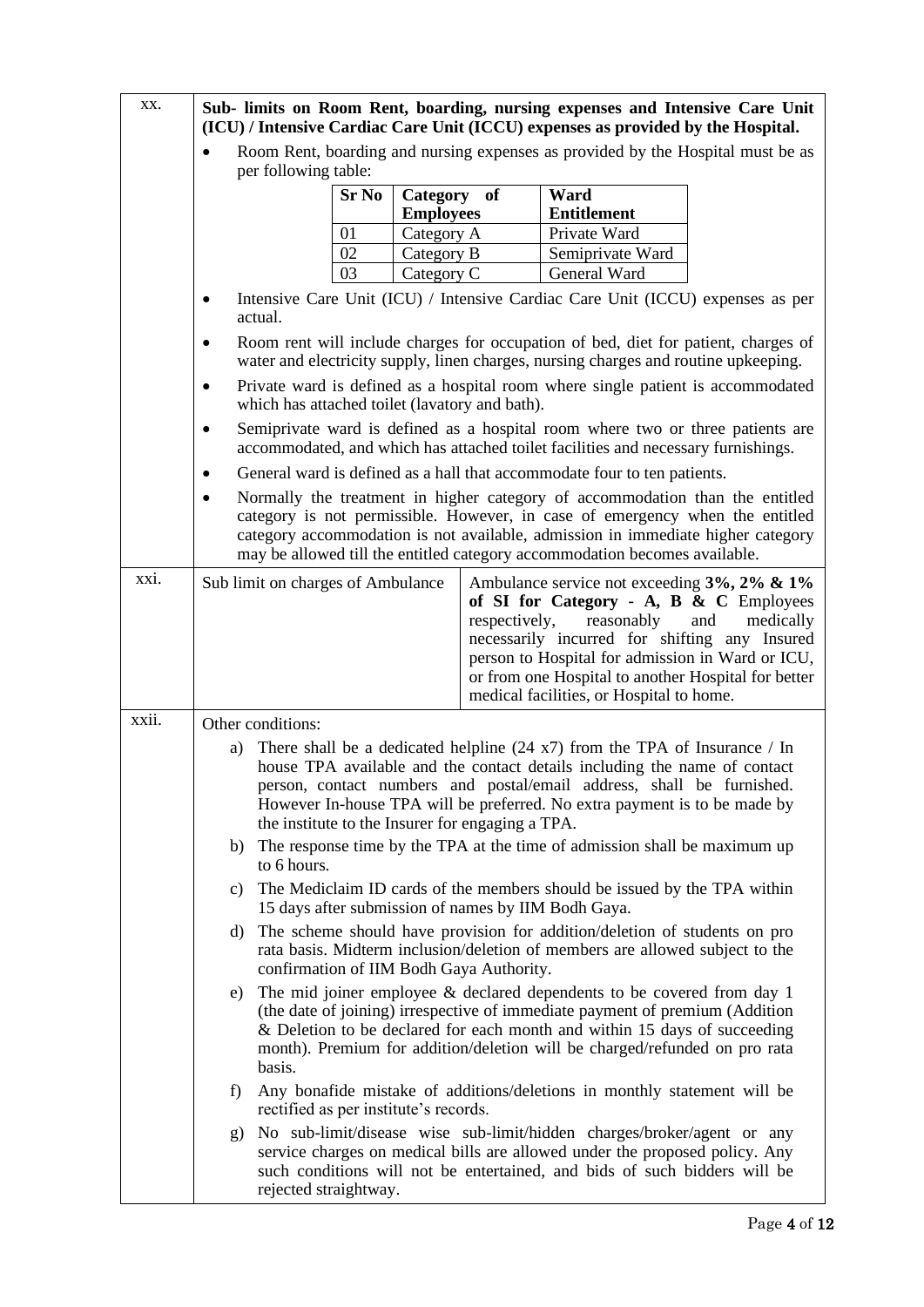| XX.   | Sub- limits on Room Rent, boarding, nursing expenses and Intensive Care Unit<br>(ICU) / Intensive Cardiac Care Unit (ICCU) expenses as provided by the Hospital. |                                                                                                                                                                                                       |              |                                 |               |                                                                          |                                                                                                                                                                                                                                                                                                                               |  |
|-------|------------------------------------------------------------------------------------------------------------------------------------------------------------------|-------------------------------------------------------------------------------------------------------------------------------------------------------------------------------------------------------|--------------|---------------------------------|---------------|--------------------------------------------------------------------------|-------------------------------------------------------------------------------------------------------------------------------------------------------------------------------------------------------------------------------------------------------------------------------------------------------------------------------|--|
|       |                                                                                                                                                                  | per following table:                                                                                                                                                                                  |              |                                 |               |                                                                          | Room Rent, boarding and nursing expenses as provided by the Hospital must be as                                                                                                                                                                                                                                               |  |
|       |                                                                                                                                                                  |                                                                                                                                                                                                       | <b>Sr No</b> | Category of<br><b>Employees</b> |               | Ward<br><b>Entitlement</b>                                               |                                                                                                                                                                                                                                                                                                                               |  |
|       |                                                                                                                                                                  |                                                                                                                                                                                                       | 01           | Category A                      |               | Private Ward                                                             |                                                                                                                                                                                                                                                                                                                               |  |
|       |                                                                                                                                                                  |                                                                                                                                                                                                       | 02           | Category B                      |               | Semiprivate Ward                                                         |                                                                                                                                                                                                                                                                                                                               |  |
|       |                                                                                                                                                                  |                                                                                                                                                                                                       | 03           | Category C                      |               | General Ward                                                             |                                                                                                                                                                                                                                                                                                                               |  |
|       | $\bullet$                                                                                                                                                        | actual.                                                                                                                                                                                               |              |                                 |               |                                                                          | Intensive Care Unit (ICU) / Intensive Cardiac Care Unit (ICCU) expenses as per                                                                                                                                                                                                                                                |  |
|       |                                                                                                                                                                  |                                                                                                                                                                                                       |              |                                 |               |                                                                          | Room rent will include charges for occupation of bed, diet for patient, charges of<br>water and electricity supply, linen charges, nursing charges and routine upkeeping.                                                                                                                                                     |  |
|       |                                                                                                                                                                  | which has attached toilet (lavatory and bath).                                                                                                                                                        |              |                                 |               |                                                                          | Private ward is defined as a hospital room where single patient is accommodated                                                                                                                                                                                                                                               |  |
|       |                                                                                                                                                                  |                                                                                                                                                                                                       |              |                                 |               |                                                                          | Semiprivate ward is defined as a hospital room where two or three patients are<br>accommodated, and which has attached toilet facilities and necessary furnishings.                                                                                                                                                           |  |
|       | $\bullet$                                                                                                                                                        |                                                                                                                                                                                                       |              |                                 |               | General ward is defined as a hall that accommodate four to ten patients. |                                                                                                                                                                                                                                                                                                                               |  |
|       |                                                                                                                                                                  |                                                                                                                                                                                                       |              |                                 |               |                                                                          | Normally the treatment in higher category of accommodation than the entitled<br>category is not permissible. However, in case of emergency when the entitled<br>category accommodation is not available, admission in immediate higher category<br>may be allowed till the entitled category accommodation becomes available. |  |
| xxi.  |                                                                                                                                                                  | Sub limit on charges of Ambulance                                                                                                                                                                     |              |                                 | respectively, | reasonably<br>medical facilities, or Hospital to home.                   | Ambulance service not exceeding 3%, 2% & 1%<br>of SI for Category - A, B & C Employees<br>and<br>medically<br>necessarily incurred for shifting any Insured<br>person to Hospital for admission in Ward or ICU,<br>or from one Hospital to another Hospital for better                                                        |  |
| xxii. |                                                                                                                                                                  | Other conditions:                                                                                                                                                                                     |              |                                 |               |                                                                          |                                                                                                                                                                                                                                                                                                                               |  |
|       | a)                                                                                                                                                               | the institute to the Insurer for engaging a TPA.                                                                                                                                                      |              |                                 |               |                                                                          | There shall be a dedicated helpline $(24 \text{ x}7)$ from the TPA of Insurance / In<br>house TPA available and the contact details including the name of contact<br>person, contact numbers and postal/email address, shall be furnished.<br>However In-house TPA will be preferred. No extra payment is to be made by       |  |
|       | The response time by the TPA at the time of admission shall be maximum up<br>b)<br>to 6 hours.                                                                   |                                                                                                                                                                                                       |              |                                 |               |                                                                          |                                                                                                                                                                                                                                                                                                                               |  |
|       | c)                                                                                                                                                               |                                                                                                                                                                                                       |              |                                 |               | 15 days after submission of names by IIM Bodh Gaya.                      | The Mediclaim ID cards of the members should be issued by the TPA within                                                                                                                                                                                                                                                      |  |
|       | d)                                                                                                                                                               | The scheme should have provision for addition/deletion of students on pro<br>rata basis. Midterm inclusion/deletion of members are allowed subject to the<br>confirmation of IIM Bodh Gaya Authority. |              |                                 |               |                                                                          |                                                                                                                                                                                                                                                                                                                               |  |
|       | e)                                                                                                                                                               | basis.                                                                                                                                                                                                |              |                                 |               |                                                                          | The mid joiner employee $\&$ declared dependents to be covered from day 1<br>(the date of joining) irrespective of immediate payment of premium (Addition<br>& Deletion to be declared for each month and within 15 days of succeeding<br>month). Premium for addition/deletion will be charged/refunded on pro rata          |  |
|       | f)                                                                                                                                                               | Any bonafide mistake of additions/deletions in monthly statement will be<br>rectified as per institute's records.                                                                                     |              |                                 |               |                                                                          |                                                                                                                                                                                                                                                                                                                               |  |
|       | g)                                                                                                                                                               | rejected straightway.                                                                                                                                                                                 |              |                                 |               |                                                                          | No sub-limit/disease wise sub-limit/hidden charges/broker/agent or any<br>service charges on medical bills are allowed under the proposed policy. Any<br>such conditions will not be entertained, and bids of such bidders will be                                                                                            |  |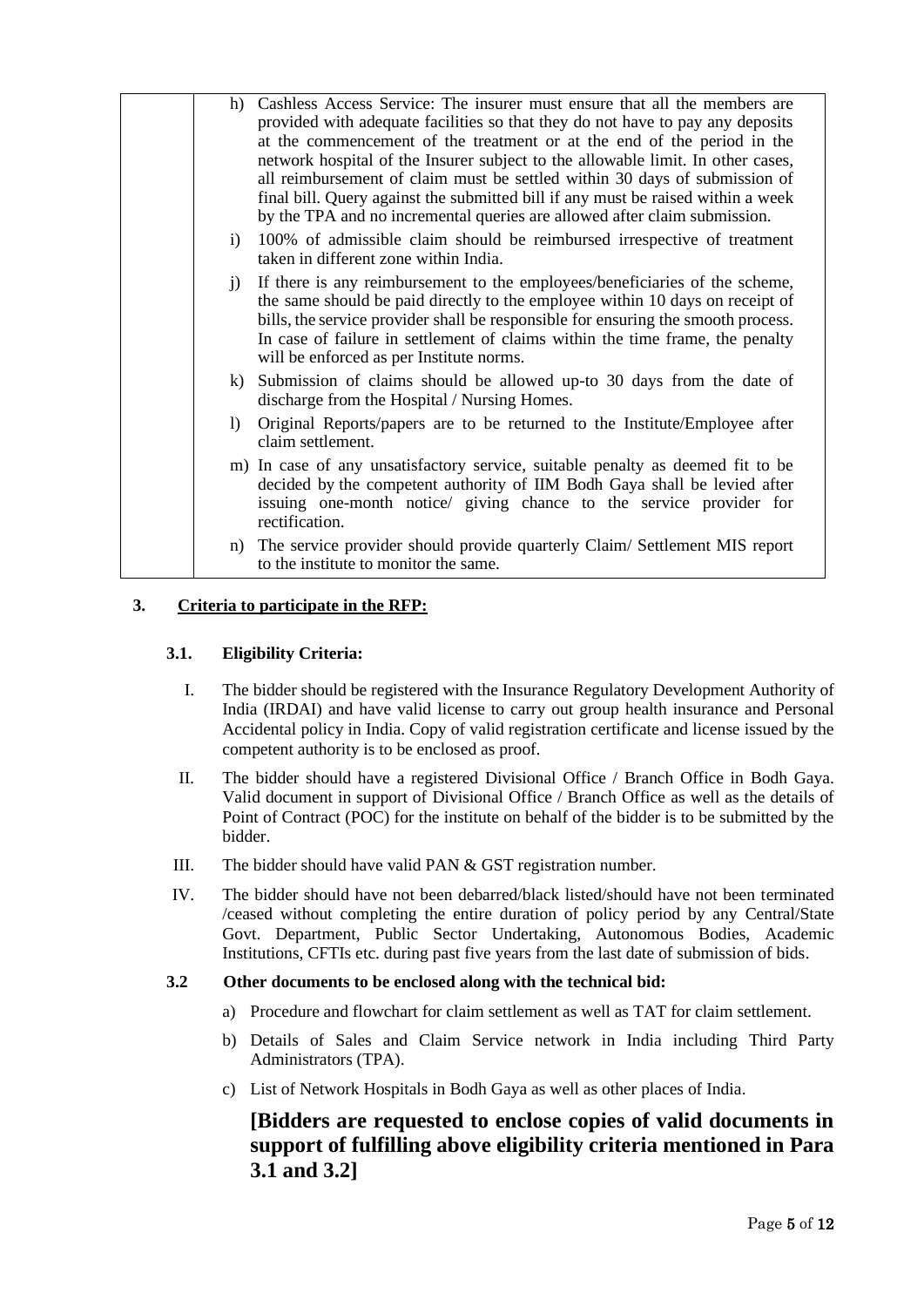| h)                     | Cashless Access Service: The insurer must ensure that all the members are<br>provided with adequate facilities so that they do not have to pay any deposits<br>at the commencement of the treatment or at the end of the period in the<br>network hospital of the Insurer subject to the allowable limit. In other cases,<br>all reimbursement of claim must be settled within 30 days of submission of<br>final bill. Query against the submitted bill if any must be raised within a week<br>by the TPA and no incremental queries are allowed after claim submission. |
|------------------------|--------------------------------------------------------------------------------------------------------------------------------------------------------------------------------------------------------------------------------------------------------------------------------------------------------------------------------------------------------------------------------------------------------------------------------------------------------------------------------------------------------------------------------------------------------------------------|
| i)                     | 100% of admissible claim should be reimbursed irrespective of treatment<br>taken in different zone within India.                                                                                                                                                                                                                                                                                                                                                                                                                                                         |
| j)                     | If there is any reimbursement to the employees/beneficiaries of the scheme,<br>the same should be paid directly to the employee within 10 days on receipt of<br>bills, the service provider shall be responsible for ensuring the smooth process.<br>In case of failure in settlement of claims within the time frame, the penalty<br>will be enforced as per Institute norms.                                                                                                                                                                                           |
| $\bf{k}$ )             | Submission of claims should be allowed up-to 30 days from the date of<br>discharge from the Hospital / Nursing Homes.                                                                                                                                                                                                                                                                                                                                                                                                                                                    |
| $\left  \right\rangle$ | Original Reports/papers are to be returned to the Institute/Employee after<br>claim settlement.                                                                                                                                                                                                                                                                                                                                                                                                                                                                          |
|                        | m) In case of any unsatisfactory service, suitable penalty as deemed fit to be<br>decided by the competent authority of IIM Bodh Gaya shall be levied after<br>issuing one-month notice/ giving chance to the service provider for<br>rectification.                                                                                                                                                                                                                                                                                                                     |
| n)                     | The service provider should provide quarterly Claim/Settlement MIS report<br>to the institute to monitor the same.                                                                                                                                                                                                                                                                                                                                                                                                                                                       |

# **3. Criteria to participate in the RFP:**

#### **3.1. Eligibility Criteria:**

- I. The bidder should be registered with the Insurance Regulatory Development Authority of India (IRDAI) and have valid license to carry out group health insurance and Personal Accidental policy in India. Copy of valid registration certificate and license issued by the competent authority is to be enclosed as proof.
- II. The bidder should have a registered Divisional Office / Branch Office in Bodh Gaya. Valid document in support of Divisional Office / Branch Office as well as the details of Point of Contract (POC) for the institute on behalf of the bidder is to be submitted by the bidder.
- III. The bidder should have valid PAN & GST registration number.
- IV. The bidder should have not been debarred/black listed/should have not been terminated /ceased without completing the entire duration of policy period by any Central/State Govt. Department, Public Sector Undertaking, Autonomous Bodies, Academic Institutions, CFTIs etc. during past five years from the last date of submission of bids.

#### **3.2 Other documents to be enclosed along with the technical bid:**

- a) Procedure and flowchart for claim settlement as well as TAT for claim settlement.
- b) Details of Sales and Claim Service network in India including Third Party Administrators (TPA).
- c) List of Network Hospitals in Bodh Gaya as well as other places of India.

# **[Bidders are requested to enclose copies of valid documents in support of fulfilling above eligibility criteria mentioned in Para 3.1 and 3.2]**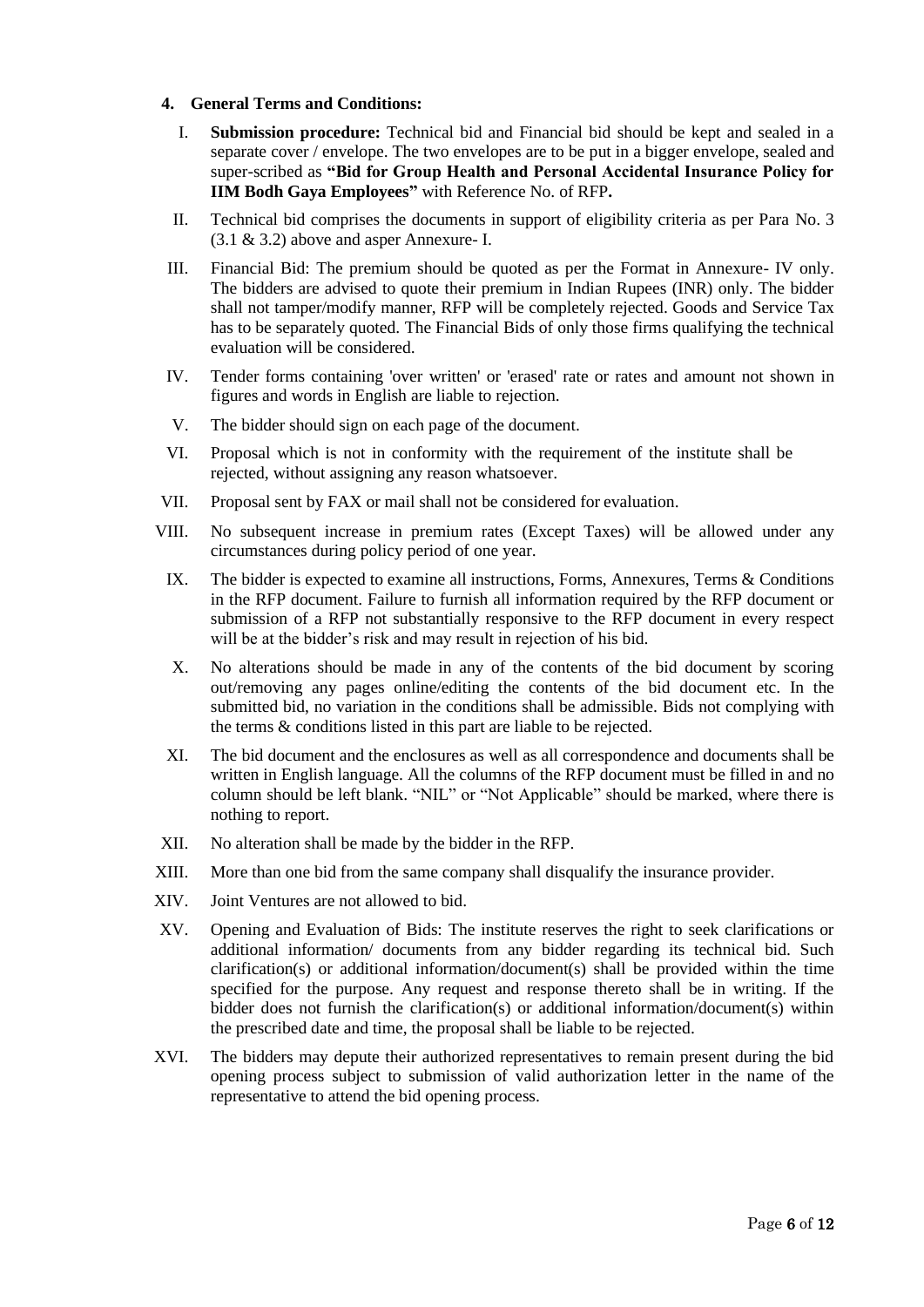#### **4. General Terms and Conditions:**

- I. **Submission procedure:** Technical bid and Financial bid should be kept and sealed in a separate cover / envelope. The two envelopes are to be put in a bigger envelope, sealed and super-scribed as **"Bid for Group Health and Personal Accidental Insurance Policy for IIM Bodh Gaya Employees"** with Reference No. of RFP**.**
- II. Technical bid comprises the documents in support of eligibility criteria as per Para No. 3 (3.1 & 3.2) above and asper Annexure- I.
- III. Financial Bid: The premium should be quoted as per the Format in Annexure- IV only. The bidders are advised to quote their premium in Indian Rupees (INR) only. The bidder shall not tamper/modify manner, RFP will be completely rejected. Goods and Service Tax has to be separately quoted. The Financial Bids of only those firms qualifying the technical evaluation will be considered.
- IV. Tender forms containing 'over written' or 'erased' rate or rates and amount not shown in figures and words in English are liable to rejection.
- V. The bidder should sign on each page of the document.
- VI. Proposal which is not in conformity with the requirement of the institute shall be rejected, without assigning any reason whatsoever.
- VII. Proposal sent by FAX or mail shall not be considered for evaluation.
- VIII. No subsequent increase in premium rates (Except Taxes) will be allowed under any circumstances during policy period of one year.
- IX. The bidder is expected to examine all instructions, Forms, Annexures, Terms & Conditions in the RFP document. Failure to furnish all information required by the RFP document or submission of a RFP not substantially responsive to the RFP document in every respect will be at the bidder's risk and may result in rejection of his bid.
- X. No alterations should be made in any of the contents of the bid document by scoring out/removing any pages online/editing the contents of the bid document etc. In the submitted bid, no variation in the conditions shall be admissible. Bids not complying with the terms & conditions listed in this part are liable to be rejected.
- XI. The bid document and the enclosures as well as all correspondence and documents shall be written in English language. All the columns of the RFP document must be filled in and no column should be left blank. "NIL" or "Not Applicable" should be marked, where there is nothing to report.
- XII. No alteration shall be made by the bidder in the RFP.
- XIII. More than one bid from the same company shall disqualify the insurance provider.
- XIV. Joint Ventures are not allowed to bid.
- XV. Opening and Evaluation of Bids: The institute reserves the right to seek clarifications or additional information/ documents from any bidder regarding its technical bid. Such clarification(s) or additional information/document(s) shall be provided within the time specified for the purpose. Any request and response thereto shall be in writing. If the bidder does not furnish the clarification(s) or additional information/document(s) within the prescribed date and time, the proposal shall be liable to be rejected.
- XVI. The bidders may depute their authorized representatives to remain present during the bid opening process subject to submission of valid authorization letter in the name of the representative to attend the bid opening process.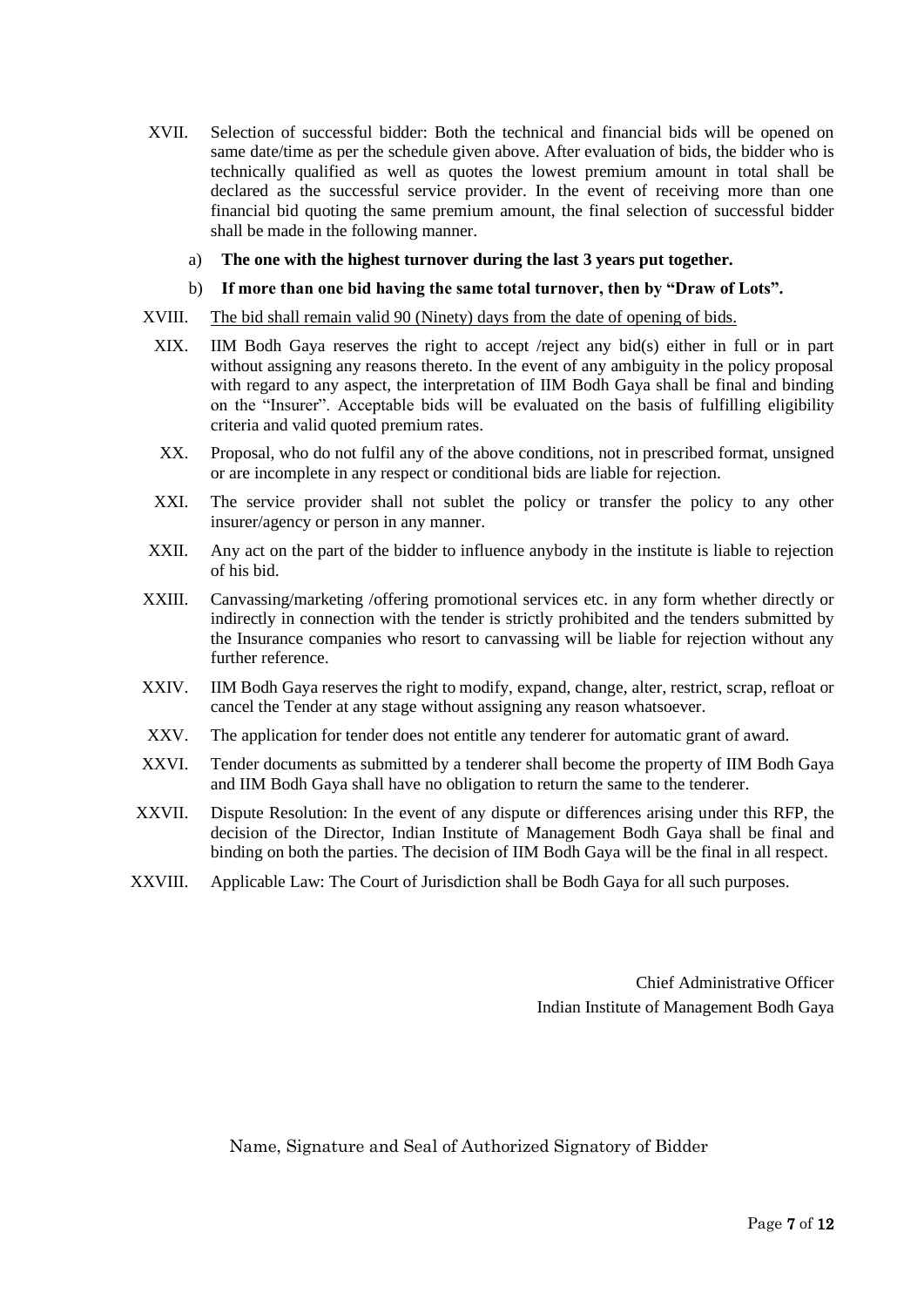- XVII. Selection of successful bidder: Both the technical and financial bids will be opened on same date/time as per the schedule given above. After evaluation of bids, the bidder who is technically qualified as well as quotes the lowest premium amount in total shall be declared as the successful service provider. In the event of receiving more than one financial bid quoting the same premium amount, the final selection of successful bidder shall be made in the following manner.
	- a) **The one with the highest turnover during the last 3 years put together.**
	- b) **If more than one bid having the same total turnover, then by "Draw of Lots".**
- XVIII. The bid shall remain valid 90 (Ninety) days from the date of opening of bids.
- XIX. IIM Bodh Gaya reserves the right to accept /reject any bid(s) either in full or in part without assigning any reasons thereto. In the event of any ambiguity in the policy proposal with regard to any aspect, the interpretation of IIM Bodh Gaya shall be final and binding on the "Insurer". Acceptable bids will be evaluated on the basis of fulfilling eligibility criteria and valid quoted premium rates.
- XX. Proposal, who do not fulfil any of the above conditions, not in prescribed format, unsigned or are incomplete in any respect or conditional bids are liable for rejection.
- XXI. The service provider shall not sublet the policy or transfer the policy to any other insurer/agency or person in any manner.
- XXII. Any act on the part of the bidder to influence anybody in the institute is liable to rejection of his bid.
- XXIII. Canvassing/marketing /offering promotional services etc. in any form whether directly or indirectly in connection with the tender is strictly prohibited and the tenders submitted by the Insurance companies who resort to canvassing will be liable for rejection without any further reference.
- XXIV. IIM Bodh Gaya reserves the right to modify, expand, change, alter, restrict, scrap, refloat or cancel the Tender at any stage without assigning any reason whatsoever.
- XXV. The application for tender does not entitle any tenderer for automatic grant of award.
- XXVI. Tender documents as submitted by a tenderer shall become the property of IIM Bodh Gaya and IIM Bodh Gaya shall have no obligation to return the same to the tenderer.
- XXVII. Dispute Resolution: In the event of any dispute or differences arising under this RFP, the decision of the Director, Indian Institute of Management Bodh Gaya shall be final and binding on both the parties. The decision of IIM Bodh Gaya will be the final in all respect.
- XXVIII. Applicable Law: The Court of Jurisdiction shall be Bodh Gaya for all such purposes.

Chief Administrative Officer Indian Institute of Management Bodh Gaya

Name, Signature and Seal of Authorized Signatory of Bidder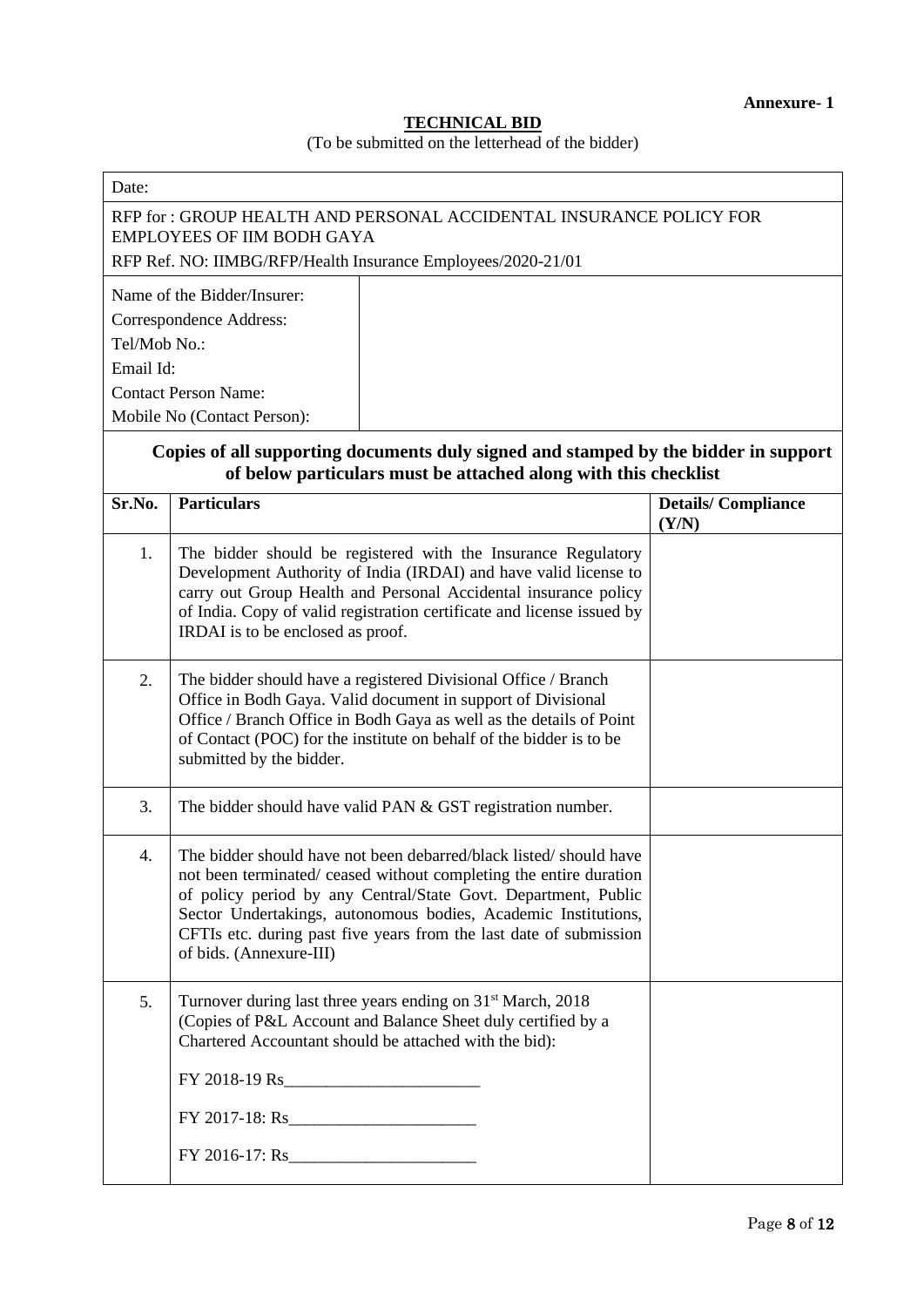#### **TECHNICAL BID**

#### (To be submitted on the letterhead of the bidder)

| Date:                     |                                                                                                                                                                                                                                                                                                                                                                              |                                    |
|---------------------------|------------------------------------------------------------------------------------------------------------------------------------------------------------------------------------------------------------------------------------------------------------------------------------------------------------------------------------------------------------------------------|------------------------------------|
|                           | RFP for : GROUP HEALTH AND PERSONAL ACCIDENTAL INSURANCE POLICY FOR<br><b>EMPLOYEES OF IIM BODH GAYA</b><br>RFP Ref. NO: IIMBG/RFP/Health Insurance Employees/2020-21/01                                                                                                                                                                                                     |                                    |
| Tel/Mob No.:<br>Email Id: | Name of the Bidder/Insurer:<br>Correspondence Address:<br><b>Contact Person Name:</b><br>Mobile No (Contact Person):<br>Copies of all supporting documents duly signed and stamped by the bidder in support                                                                                                                                                                  |                                    |
| Sr.No.                    | of below particulars must be attached along with this checklist<br><b>Particulars</b>                                                                                                                                                                                                                                                                                        | <b>Details/Compliance</b><br>(Y/N) |
| 1.                        | The bidder should be registered with the Insurance Regulatory<br>Development Authority of India (IRDAI) and have valid license to<br>carry out Group Health and Personal Accidental insurance policy<br>of India. Copy of valid registration certificate and license issued by<br>IRDAI is to be enclosed as proof.                                                          |                                    |
| 2.                        | The bidder should have a registered Divisional Office / Branch<br>Office in Bodh Gaya. Valid document in support of Divisional<br>Office / Branch Office in Bodh Gaya as well as the details of Point<br>of Contact (POC) for the institute on behalf of the bidder is to be<br>submitted by the bidder.                                                                     |                                    |
| 3.                        | The bidder should have valid PAN & GST registration number.                                                                                                                                                                                                                                                                                                                  |                                    |
| 4.                        | The bidder should have not been debarred/black listed/should have<br>not been terminated/ ceased without completing the entire duration<br>of policy period by any Central/State Govt. Department, Public<br>Sector Undertakings, autonomous bodies, Academic Institutions,<br>CFTIs etc. during past five years from the last date of submission<br>of bids. (Annexure-III) |                                    |
| 5.                        | Turnover during last three years ending on 31 <sup>st</sup> March, 2018<br>(Copies of P&L Account and Balance Sheet duly certified by a<br>Chartered Accountant should be attached with the bid):                                                                                                                                                                            |                                    |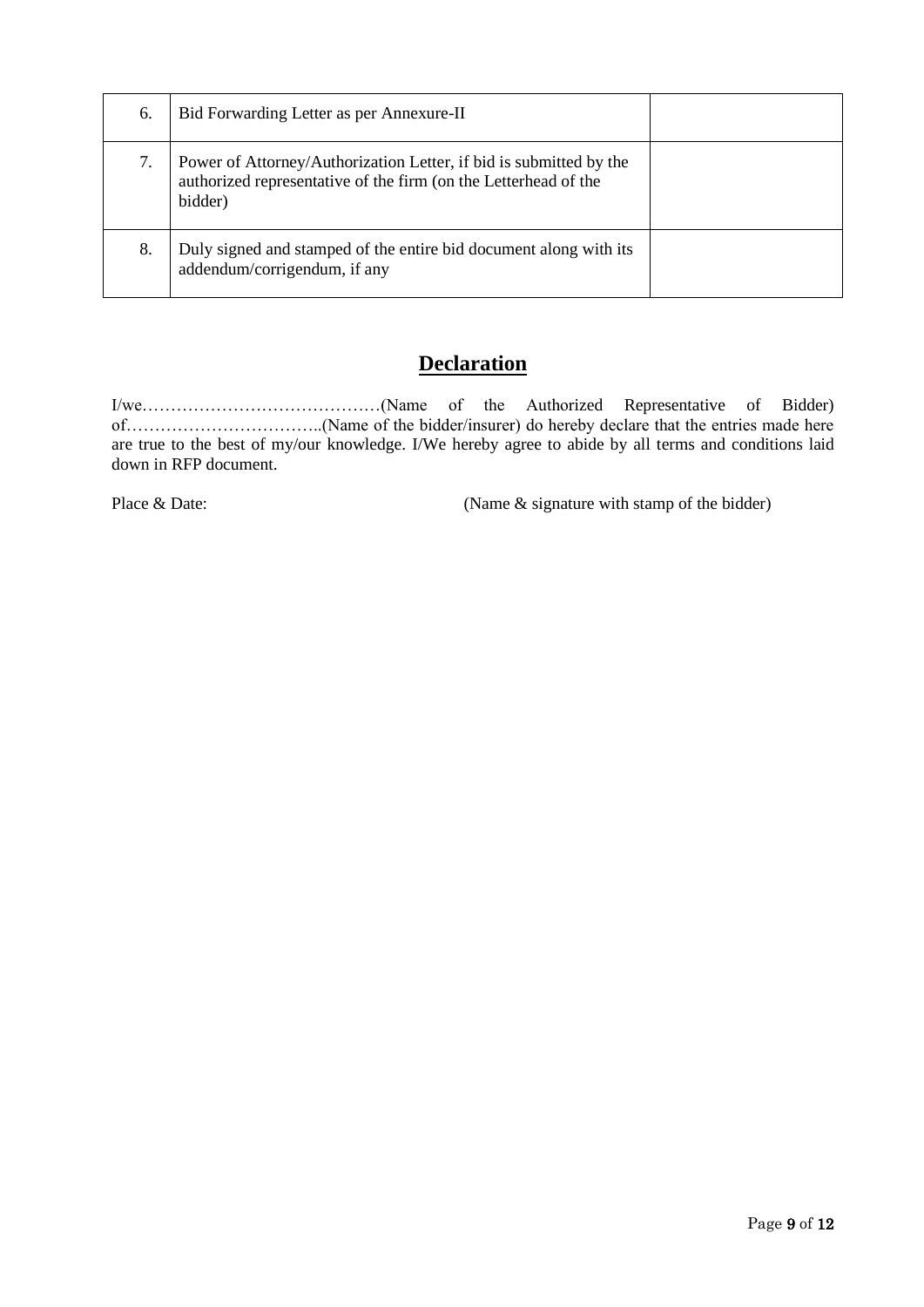| 6. | Bid Forwarding Letter as per Annexure-II                                                                                                         |  |
|----|--------------------------------------------------------------------------------------------------------------------------------------------------|--|
| 7. | Power of Attorney/Authorization Letter, if bid is submitted by the<br>authorized representative of the firm (on the Letterhead of the<br>bidder) |  |
| 8. | Duly signed and stamped of the entire bid document along with its<br>addendum/corrigendum, if any                                                |  |

# **Declaration**

I/we……………………………………(Name of the Authorized Representative of Bidder) of……………………………..(Name of the bidder/insurer) do hereby declare that the entries made here are true to the best of my/our knowledge. I/We hereby agree to abide by all terms and conditions laid down in RFP document.

Place & Date: (Name & signature with stamp of the bidder)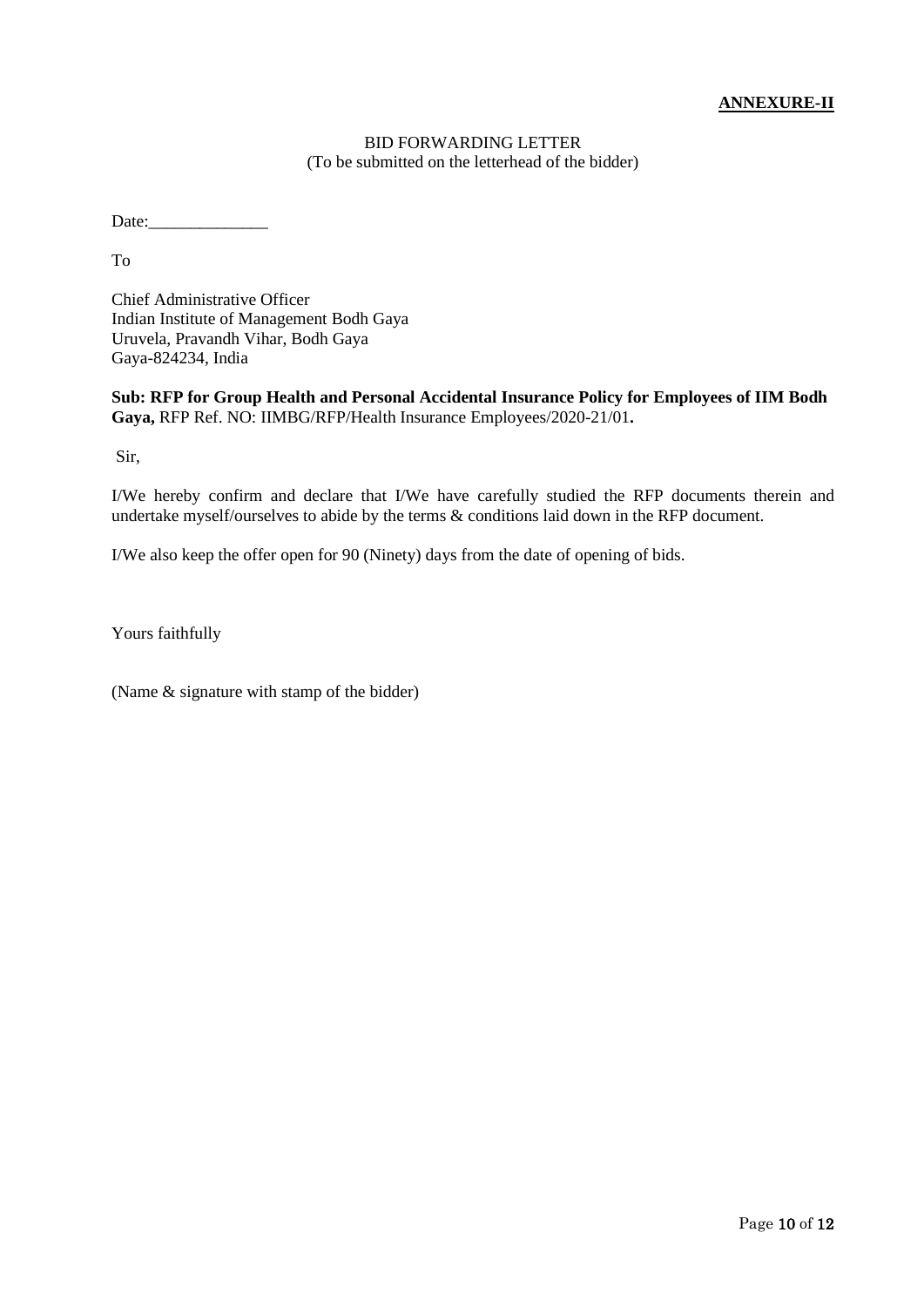### **ANNEXURE-II**

# BID FORWARDING LETTER (To be submitted on the letterhead of the bidder)

Date:

To

Chief Administrative Officer Indian Institute of Management Bodh Gaya Uruvela, Pravandh Vihar, Bodh Gaya Gaya-824234, India

**Sub: RFP for Group Health and Personal Accidental Insurance Policy for Employees of IIM Bodh Gaya,** RFP Ref. NO: IIMBG/RFP/Health Insurance Employees/2020-21/01**.**

Sir,

I/We hereby confirm and declare that I/We have carefully studied the RFP documents therein and undertake myself/ourselves to abide by the terms & conditions laid down in the RFP document.

I/We also keep the offer open for 90 (Ninety) days from the date of opening of bids.

Yours faithfully

(Name & signature with stamp of the bidder)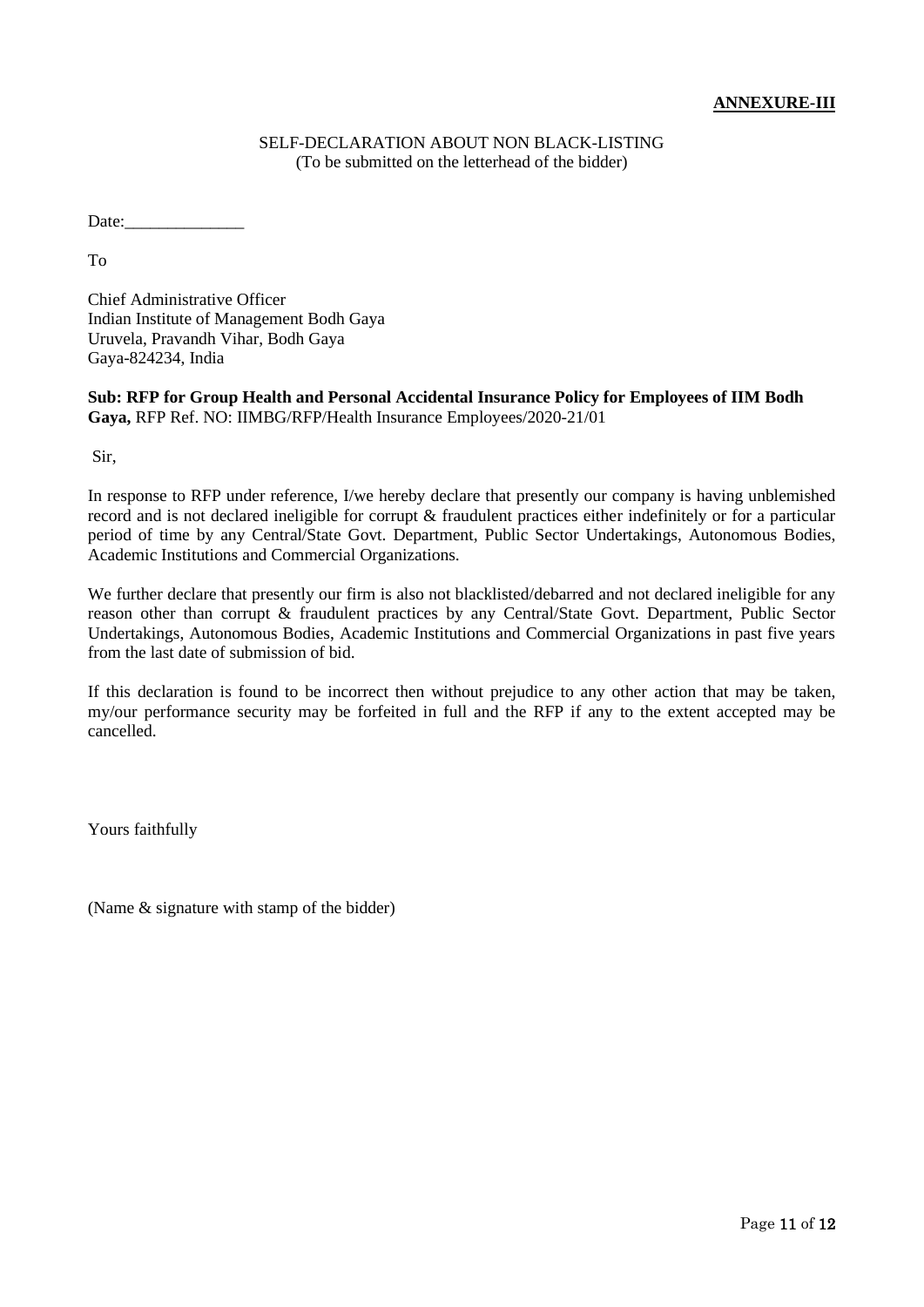#### SELF-DECLARATION ABOUT NON BLACK-LISTING (To be submitted on the letterhead of the bidder)

Date:

To

Chief Administrative Officer Indian Institute of Management Bodh Gaya Uruvela, Pravandh Vihar, Bodh Gaya Gaya-824234, India

**Sub: RFP for Group Health and Personal Accidental Insurance Policy for Employees of IIM Bodh Gaya,** RFP Ref. NO: IIMBG/RFP/Health Insurance Employees/2020-21/01

Sir,

In response to RFP under reference, I/we hereby declare that presently our company is having unblemished record and is not declared ineligible for corrupt & fraudulent practices either indefinitely or for a particular period of time by any Central/State Govt. Department, Public Sector Undertakings, Autonomous Bodies, Academic Institutions and Commercial Organizations.

We further declare that presently our firm is also not blacklisted/debarred and not declared ineligible for any reason other than corrupt & fraudulent practices by any Central/State Govt. Department, Public Sector Undertakings, Autonomous Bodies, Academic Institutions and Commercial Organizations in past five years from the last date of submission of bid.

If this declaration is found to be incorrect then without prejudice to any other action that may be taken, my/our performance security may be forfeited in full and the RFP if any to the extent accepted may be cancelled.

Yours faithfully

(Name & signature with stamp of the bidder)